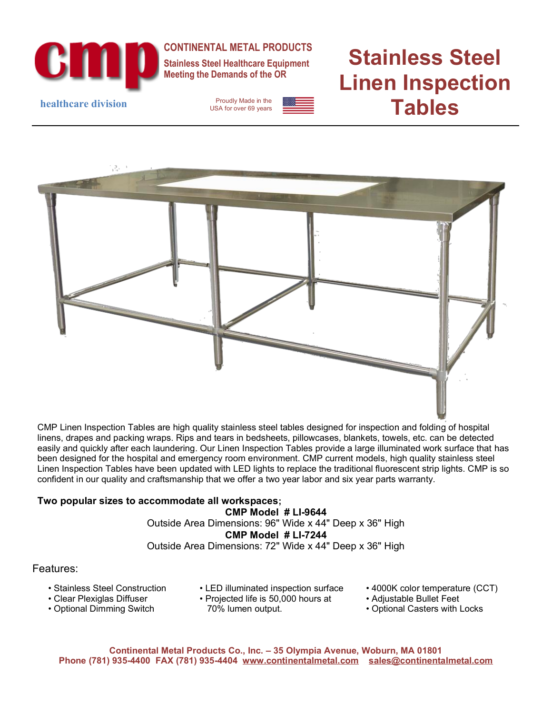

**CONTINENTAL METAL PRODUCTS**

**Stainless Steel Healthcare Equipment Meeting the Demands of the OR**

USA for over 69 years

# **Stainless Steel Linen Inspection healthcare division** Proudly Made in the **example 1998**



CMP Linen Inspection Tables are high quality stainless steel tables designed for inspection and folding of hospital linens, drapes and packing wraps. Rips and tears in bedsheets, pillowcases, blankets, towels, etc. can be detected easily and quickly after each laundering. Our Linen Inspection Tables provide a large illuminated work surface that has been designed for the hospital and emergency room environment. CMP current models, high quality stainless steel Linen Inspection Tables have been updated with LED lights to replace the traditional fluorescent strip lights. CMP is so confident in our quality and craftsmanship that we offer a two year labor and six year parts warranty.

#### **Two popular sizes to accommodate all workspaces;**

**CMP Model # LI-9644** Outside Area Dimensions: 96" Wide x 44" Deep x 36" High **CMP Model # LI-7244** Outside Area Dimensions: 72" Wide x 44" Deep x 36" High

#### Features:

- Stainless Steel Construction
- LED illuminated inspection surface
- Clear Plexiglas Diffuser
- Optional Dimming Switch
- Projected life is 50,000 hours at 70% lumen output.
- 4000K color temperature (CCT)
- Adjustable Bullet Feet
- Optional Casters with Locks

**Continental Metal Products Co., Inc. – 35 Olympia Avenue, Woburn, MA 01801 Phone (781) 935-4400 FAX (781) 935-4404 [www.continentalmetal.com](http://www.continentalmetal.com/) [sales@continentalmetal.com](mailto:sales@continentalmetal.com)**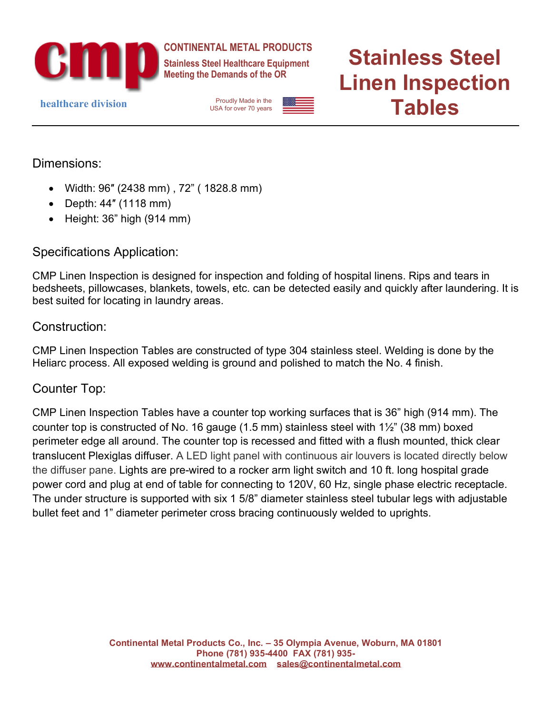

**CONTINENTAL METAL PRODUCTS**

**Stainless Steel Healthcare Equipment Meeting the Demands of the OR**

USA for over 70 years

# **Stainless Steel Linen Inspection healthcare division** Proudly Made in the **example 1998**

Dimensions:

- Width: 96″ (2438 mm) , 72" ( 1828.8 mm)
- Depth: 44″ (1118 mm)
- Height: 36" high (914 mm)

## Specifications Application:

CMP Linen Inspection is designed for inspection and folding of hospital linens. Rips and tears in bedsheets, pillowcases, blankets, towels, etc. can be detected easily and quickly after laundering. It is best suited for locating in laundry areas.

### Construction:

CMP Linen Inspection Tables are constructed of type 304 stainless steel. Welding is done by the Heliarc process. All exposed welding is ground and polished to match the No. 4 finish.

### Counter Top:

CMP Linen Inspection Tables have a counter top working surfaces that is 36" high (914 mm). The counter top is constructed of No. 16 gauge (1.5 mm) stainless steel with 1½" (38 mm) boxed perimeter edge all around. The counter top is recessed and fitted with a flush mounted, thick clear translucent Plexiglas diffuser. A LED light panel with continuous air louvers is located directly below the diffuser pane. Lights are pre-wired to a rocker arm light switch and 10 ft. long hospital grade power cord and plug at end of table for connecting to 120V, 60 Hz, single phase electric receptacle. The under structure is supported with six 1 5/8" diameter stainless steel tubular legs with adjustable bullet feet and 1" diameter perimeter cross bracing continuously welded to uprights.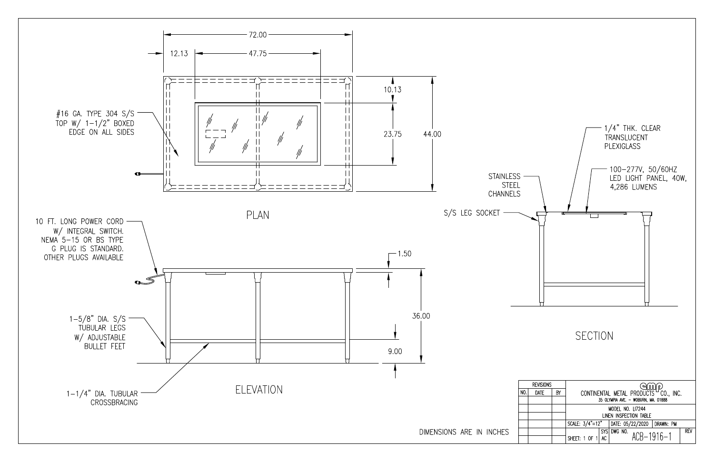